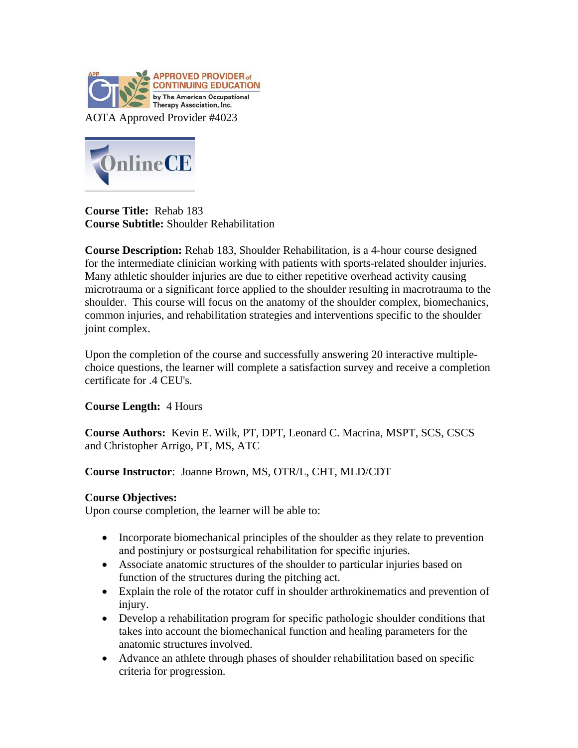



**Course Title:** Rehab 183 **Course Subtitle:** Shoulder Rehabilitation

**Course Description:** Rehab 183, Shoulder Rehabilitation, is a 4-hour course designed for the intermediate clinician working with patients with sports-related shoulder injuries. Many athletic shoulder injuries are due to either repetitive overhead activity causing microtrauma or a significant force applied to the shoulder resulting in macrotrauma to the shoulder. This course will focus on the anatomy of the shoulder complex, biomechanics, common injuries, and rehabilitation strategies and interventions specific to the shoulder joint complex.

Upon the completion of the course and successfully answering 20 interactive multiplechoice questions, the learner will complete a satisfaction survey and receive a completion certificate for .4 CEU's.

## **Course Length:** 4 Hours

**Course Authors:** Kevin E. Wilk, PT, DPT, Leonard C. Macrina, MSPT, SCS, CSCS and Christopher Arrigo, PT, MS, ATC

## **Course Instructor**: Joanne Brown, MS, OTR/L, CHT, MLD/CDT

## **Course Objectives:**

Upon course completion, the learner will be able to:

- Incorporate biomechanical principles of the shoulder as they relate to prevention and postinjury or postsurgical rehabilitation for specific injuries.
- Associate anatomic structures of the shoulder to particular injuries based on function of the structures during the pitching act.
- Explain the role of the rotator cuff in shoulder arthrokinematics and prevention of injury.
- Develop a rehabilitation program for specific pathologic shoulder conditions that takes into account the biomechanical function and healing parameters for the anatomic structures involved.
- Advance an athlete through phases of shoulder rehabilitation based on specific criteria for progression.